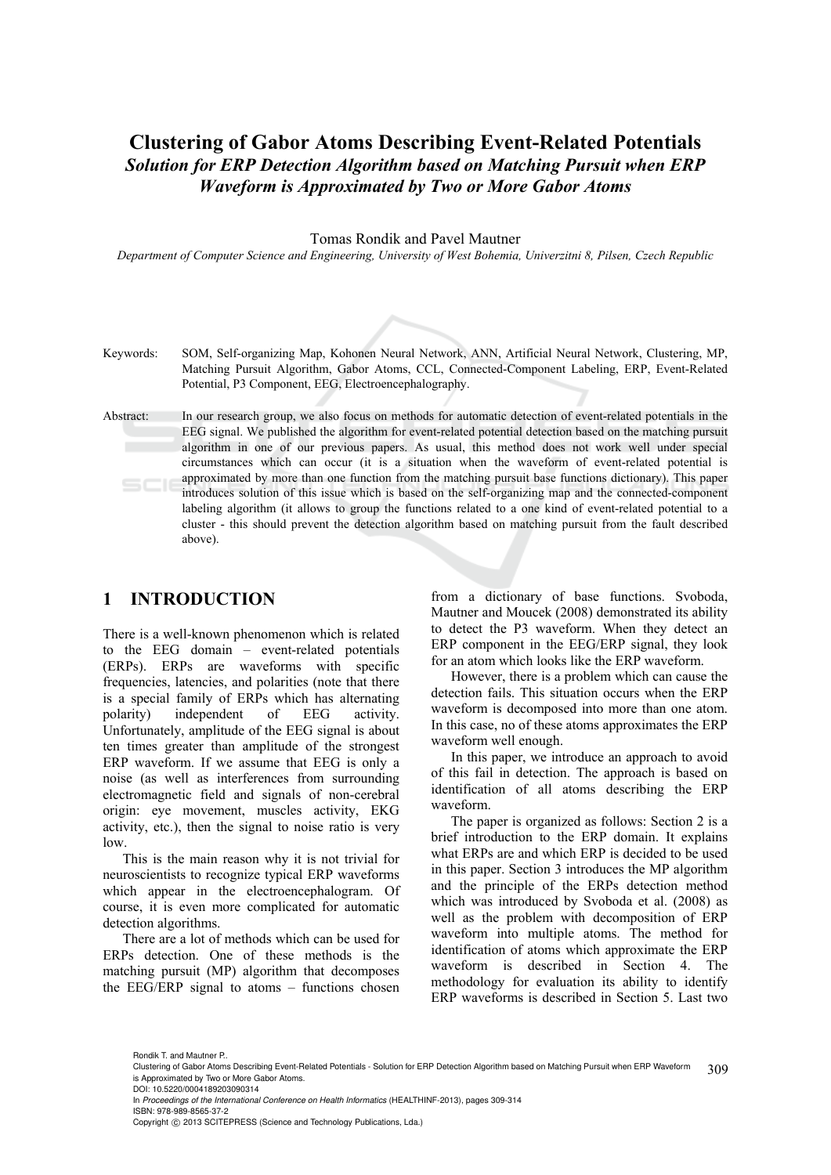## **Clustering of Gabor Atoms Describing Event-Related Potentials**  *Solution for ERP Detection Algorithm based on Matching Pursuit when ERP Waveform is Approximated by Two or More Gabor Atoms*

Tomas Rondik and Pavel Mautner

*Department of Computer Science and Engineering, University of West Bohemia, Univerzitni 8, Pilsen, Czech Republic* 

- Keywords: SOM, Self-organizing Map, Kohonen Neural Network, ANN, Artificial Neural Network, Clustering, MP, Matching Pursuit Algorithm, Gabor Atoms, CCL, Connected-Component Labeling, ERP, Event-Related Potential, P3 Component, EEG, Electroencephalography.
- Abstract: In our research group, we also focus on methods for automatic detection of event-related potentials in the EEG signal. We published the algorithm for event-related potential detection based on the matching pursuit algorithm in one of our previous papers. As usual, this method does not work well under special circumstances which can occur (it is a situation when the waveform of event-related potential is approximated by more than one function from the matching pursuit base functions dictionary). This paper introduces solution of this issue which is based on the self-organizing map and the connected-component labeling algorithm (it allows to group the functions related to a one kind of event-related potential to a cluster - this should prevent the detection algorithm based on matching pursuit from the fault described above).

### **1 INTRODUCTION**

There is a well-known phenomenon which is related to the EEG domain – event-related potentials (ERPs). ERPs are waveforms with specific frequencies, latencies, and polarities (note that there is a special family of ERPs which has alternating polarity) independent of EEG activity. Unfortunately, amplitude of the EEG signal is about ten times greater than amplitude of the strongest ERP waveform. If we assume that EEG is only a noise (as well as interferences from surrounding electromagnetic field and signals of non-cerebral origin: eye movement, muscles activity, EKG activity, etc.), then the signal to noise ratio is very low.

This is the main reason why it is not trivial for neuroscientists to recognize typical ERP waveforms which appear in the electroencephalogram. Of course, it is even more complicated for automatic detection algorithms.

There are a lot of methods which can be used for ERPs detection. One of these methods is the matching pursuit (MP) algorithm that decomposes the EEG/ERP signal to atoms – functions chosen

from a dictionary of base functions. Svoboda, Mautner and Moucek (2008) demonstrated its ability to detect the P3 waveform. When they detect an ERP component in the EEG/ERP signal, they look for an atom which looks like the ERP waveform.

However, there is a problem which can cause the detection fails. This situation occurs when the ERP waveform is decomposed into more than one atom. In this case, no of these atoms approximates the ERP waveform well enough.

In this paper, we introduce an approach to avoid of this fail in detection. The approach is based on identification of all atoms describing the ERP waveform.

The paper is organized as follows: Section 2 is a brief introduction to the ERP domain. It explains what ERPs are and which ERP is decided to be used in this paper. Section 3 introduces the MP algorithm and the principle of the ERPs detection method which was introduced by Svoboda et al. (2008) as well as the problem with decomposition of ERP waveform into multiple atoms. The method for identification of atoms which approximate the ERP waveform is described in Section 4. The methodology for evaluation its ability to identify ERP waveforms is described in Section 5. Last two

Rondik T. and Mautner P..

<sup>309</sup> Clustering of Gabor Atoms Describing Event-Related Potentials - Solution for ERP Detection Algorithm based on Matching Pursuit when ERP Waveform is Approximated by Two or More Gabor Atoms.

DOI: 10.5220/0004189203090314

In *Proceedings of the International Conference on Health Informatics* (HEALTHINF-2013), pages 309-314 ISBN: 978-989-8565-37-2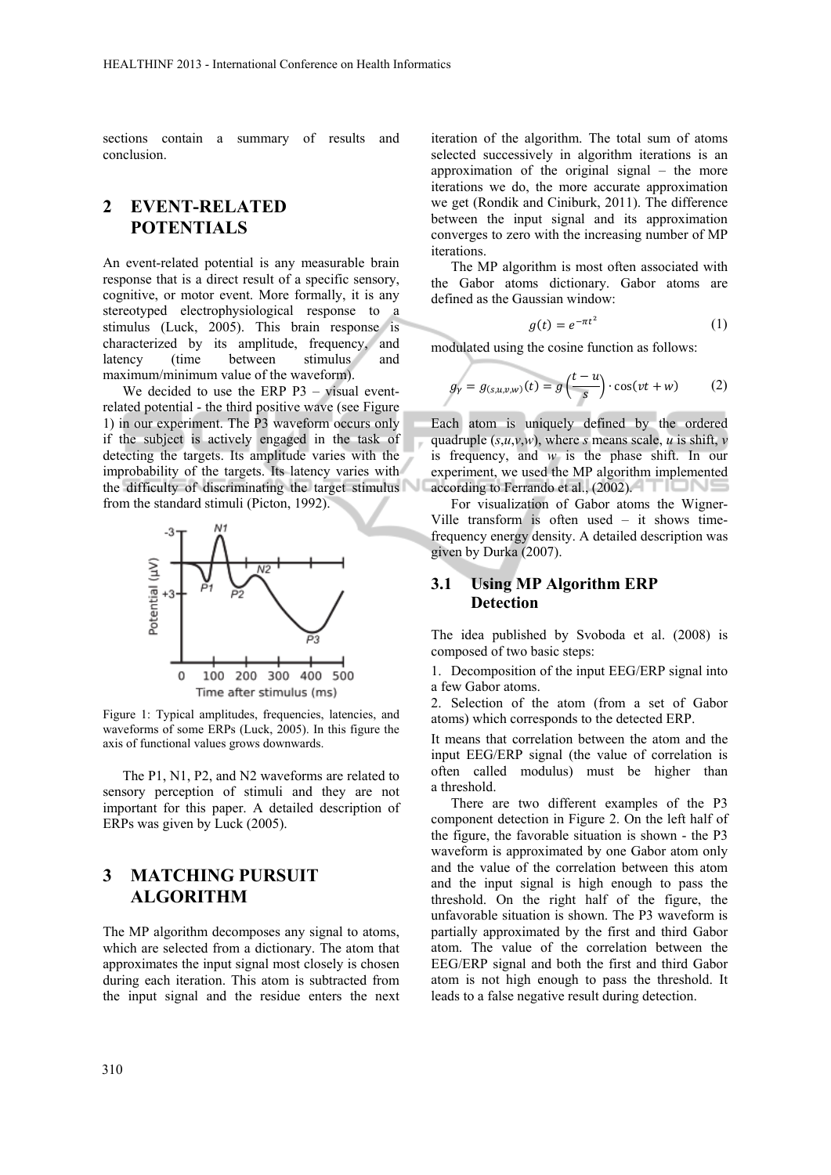sections contain a summary of results and conclusion.

# **2 EVENT-RELATED POTENTIALS**

An event-related potential is any measurable brain response that is a direct result of a specific sensory, cognitive, or motor event. More formally, it is any stereotyped electrophysiological response to a stimulus (Luck, 2005). This brain response is characterized by its amplitude, frequency, and latency (time between stimulus and maximum/minimum value of the waveform).

We decided to use the ERP P3 – visual eventrelated potential - the third positive wave (see Figure 1) in our experiment. The P3 waveform occurs only if the subject is actively engaged in the task of detecting the targets. Its amplitude varies with the improbability of the targets. Its latency varies with the difficulty of discriminating the target stimulus from the standard stimuli (Picton, 1992).



Figure 1: Typical amplitudes, frequencies, latencies, and waveforms of some ERPs (Luck, 2005). In this figure the axis of functional values grows downwards.

The P1, N1, P2, and N2 waveforms are related to sensory perception of stimuli and they are not important for this paper. A detailed description of ERPs was given by Luck (2005).

## **3 MATCHING PURSUIT ALGORITHM**

The MP algorithm decomposes any signal to atoms, which are selected from a dictionary. The atom that approximates the input signal most closely is chosen during each iteration. This atom is subtracted from the input signal and the residue enters the next

iteration of the algorithm. The total sum of atoms selected successively in algorithm iterations is an approximation of the original signal – the more iterations we do, the more accurate approximation we get (Rondik and Ciniburk, 2011). The difference between the input signal and its approximation converges to zero with the increasing number of MP iterations.

The MP algorithm is most often associated with the Gabor atoms dictionary. Gabor atoms are defined as the Gaussian window:

$$
g(t) = e^{-\pi t^2} \tag{1}
$$

modulated using the cosine function as follows:

$$
g_{\gamma} = g_{(s,u,v,w)}(t) = g\left(\frac{t-u}{s}\right) \cdot \cos(vt+w) \tag{2}
$$

Each atom is uniquely defined by the ordered quadruple  $(s, u, v, w)$ , where *s* means scale, *u* is shift, *v* is frequency, and *w* is the phase shift. In our experiment, we used the MP algorithm implemented according to Ferrando et al., (2002).

For visualization of Gabor atoms the Wigner-Ville transform is often used – it shows timefrequency energy density. A detailed description was given by Durka (2007).

#### **3.1 Using MP Algorithm ERP Detection**

The idea published by Svoboda et al. (2008) is composed of two basic steps:

1. Decomposition of the input EEG/ERP signal into a few Gabor atoms.

2. Selection of the atom (from a set of Gabor atoms) which corresponds to the detected ERP.

It means that correlation between the atom and the input EEG/ERP signal (the value of correlation is often called modulus) must be higher than a threshold.

There are two different examples of the P3 component detection in Figure 2. On the left half of the figure, the favorable situation is shown - the P3 waveform is approximated by one Gabor atom only and the value of the correlation between this atom and the input signal is high enough to pass the threshold. On the right half of the figure, the unfavorable situation is shown. The P3 waveform is partially approximated by the first and third Gabor atom. The value of the correlation between the EEG/ERP signal and both the first and third Gabor atom is not high enough to pass the threshold. It leads to a false negative result during detection.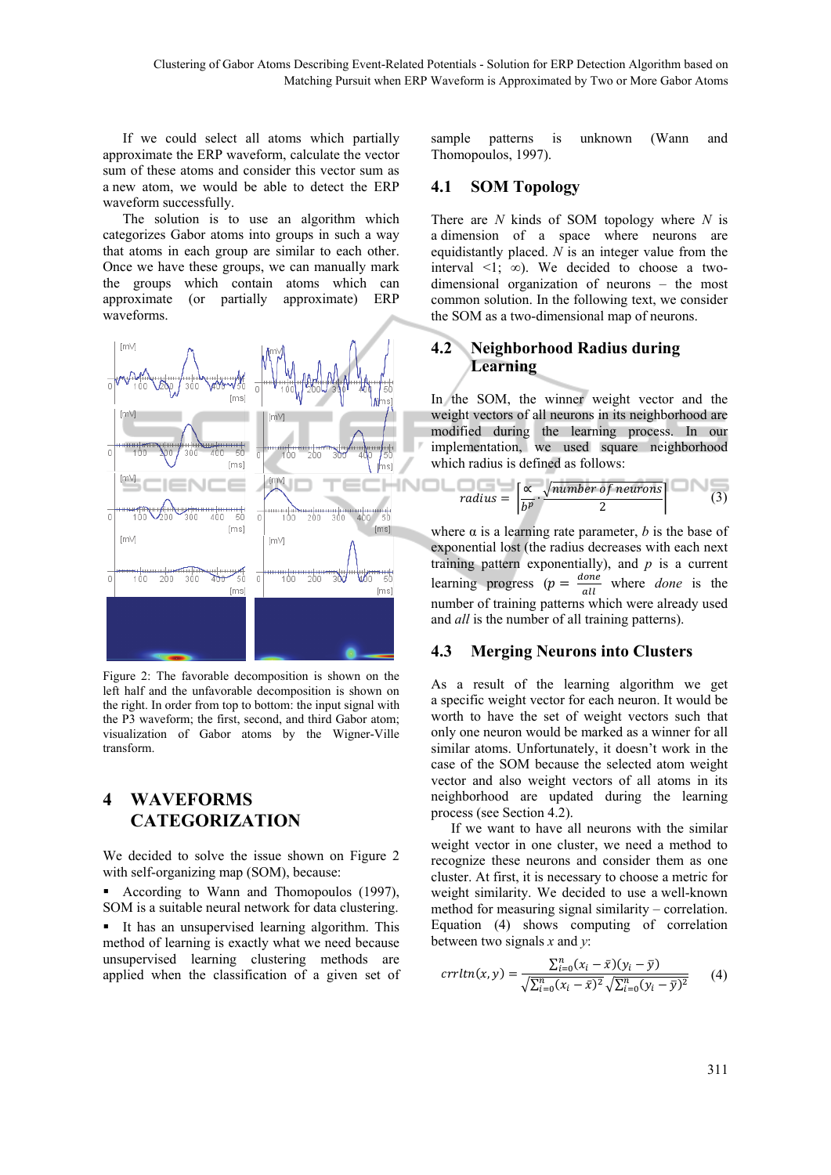If we could select all atoms which partially approximate the ERP waveform, calculate the vector sum of these atoms and consider this vector sum as a new atom, we would be able to detect the ERP waveform successfully.

The solution is to use an algorithm which categorizes Gabor atoms into groups in such a way that atoms in each group are similar to each other. Once we have these groups, we can manually mark the groups which contain atoms which can approximate (or partially approximate) ERP waveforms.



Figure 2: The favorable decomposition is shown on the left half and the unfavorable decomposition is shown on the right. In order from top to bottom: the input signal with the P3 waveform; the first, second, and third Gabor atom; visualization of Gabor atoms by the Wigner-Ville transform.

# **4 WAVEFORMS CATEGORIZATION**

We decided to solve the issue shown on Figure 2 with self-organizing map (SOM), because:

 According to Wann and Thomopoulos (1997), SOM is a suitable neural network for data clustering.

 It has an unsupervised learning algorithm. This method of learning is exactly what we need because unsupervised learning clustering methods are applied when the classification of a given set of sample patterns is unknown (Wann and Thomopoulos, 1997).

### **4.1 SOM Topology**

There are *N* kinds of SOM topology where *N* is a dimension of a space where neurons are equidistantly placed. *N* is an integer value from the interval  $\leq 1$ ;  $\infty$ ). We decided to choose a twodimensional organization of neurons – the most common solution. In the following text, we consider the SOM as a two-dimensional map of neurons.

## **4.2 Neighborhood Radius during Learning**

In the SOM, the winner weight vector and the weight vectors of all neurons in its neighborhood are modified during the learning process. In our implementation, we used square neighborhood which radius is defined as follows:

radius = 
$$
\left[\frac{\alpha}{b^p} \cdot \frac{\sqrt{number \ of \ neurons}}{2}\right]
$$
 (3)

where  $\alpha$  is a learning rate parameter,  $b$  is the base of exponential lost (the radius decreases with each next training pattern exponentially), and  $p$  is a current learning progress ( $p = \frac{done}{d}$  $\frac{time}{all}$  where *done* is the number of training patterns which were already used and *all* is the number of all training patterns).

### **4.3 Merging Neurons into Clusters**

As a result of the learning algorithm we get a specific weight vector for each neuron. It would be worth to have the set of weight vectors such that only one neuron would be marked as a winner for all similar atoms. Unfortunately, it doesn't work in the case of the SOM because the selected atom weight vector and also weight vectors of all atoms in its neighborhood are updated during the learning process (see Section 4.2).

If we want to have all neurons with the similar weight vector in one cluster, we need a method to recognize these neurons and consider them as one cluster. At first, it is necessary to choose a metric for weight similarity. We decided to use a well-known method for measuring signal similarity – correlation. Equation (4) shows computing of correlation between two signals *x* and *y*:

$$
crrltn(x, y) = \frac{\sum_{i=0}^{n} (x_i - \bar{x})(y_i - \bar{y})}{\sqrt{\sum_{i=0}^{n} (x_i - \bar{x})^2} \sqrt{\sum_{i=0}^{n} (y_i - \bar{y})^2}}
$$
(4)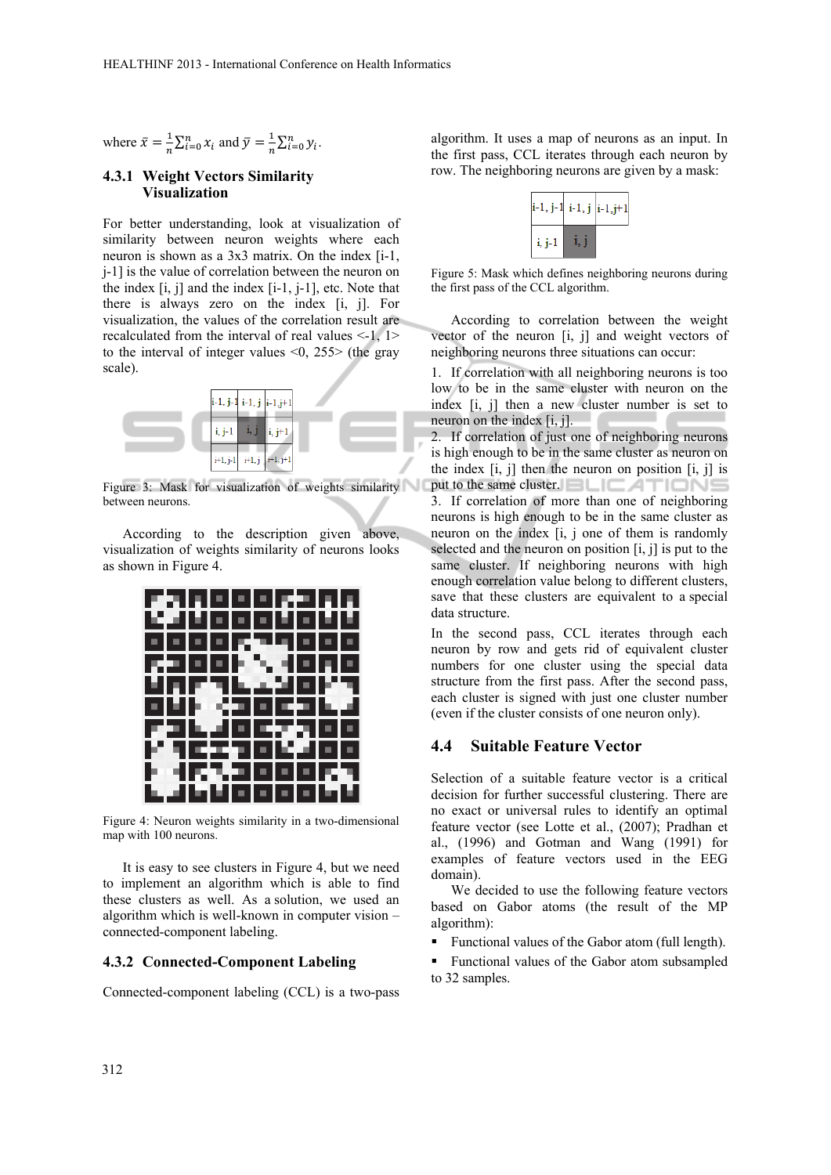where 
$$
\bar{x} = \frac{1}{n} \sum_{i=0}^{n} x_i
$$
 and  $\bar{y} = \frac{1}{n} \sum_{i=0}^{n} y_i$ .

#### **4.3.1 Weight Vectors Similarity Visualization**

For better understanding, look at visualization of similarity between neuron weights where each neuron is shown as a 3x3 matrix. On the index [i-1, j-1] is the value of correlation between the neuron on the index  $[i, j]$  and the index  $[i-1, j-1]$ , etc. Note that there is always zero on the index [i, j]. For visualization, the values of the correlation result are recalculated from the interval of real values  $\leq 1$ ,  $1>$ to the interval of integer values  $\leq 0$ , 255 $>$  (the gray scale).



Figure 3: Mask for visualization of weights similarity between neurons.

According to the description given above, visualization of weights similarity of neurons looks as shown in Figure 4.



Figure 4: Neuron weights similarity in a two-dimensional map with 100 neurons.

It is easy to see clusters in Figure 4, but we need to implement an algorithm which is able to find these clusters as well. As a solution, we used an algorithm which is well-known in computer vision – connected-component labeling.

#### **4.3.2 Connected-Component Labeling**

Connected-component labeling (CCL) is a two-pass

algorithm. It uses a map of neurons as an input. In the first pass, CCL iterates through each neuron by row. The neighboring neurons are given by a mask:



Figure 5: Mask which defines neighboring neurons during the first pass of the CCL algorithm.

According to correlation between the weight vector of the neuron [i, j] and weight vectors of neighboring neurons three situations can occur:

1. If correlation with all neighboring neurons is too low to be in the same cluster with neuron on the index [i, j] then a new cluster number is set to neuron on the index [i, j].

2. If correlation of just one of neighboring neurons is high enough to be in the same cluster as neuron on the index  $[i, j]$  then the neuron on position  $[i, j]$  is put to the same cluster.  $\Box$   $\Box$   $\Box$   $\Box$   $\Box$   $\Box$ 3. If correlation of more than one of neighboring neurons is high enough to be in the same cluster as neuron on the index [i, j one of them is randomly selected and the neuron on position [i, j] is put to the same cluster. If neighboring neurons with high enough correlation value belong to different clusters, save that these clusters are equivalent to a special data structure.

In the second pass, CCL iterates through each neuron by row and gets rid of equivalent cluster numbers for one cluster using the special data structure from the first pass. After the second pass, each cluster is signed with just one cluster number (even if the cluster consists of one neuron only).

#### **4.4 Suitable Feature Vector**

Selection of a suitable feature vector is a critical decision for further successful clustering. There are no exact or universal rules to identify an optimal feature vector (see Lotte et al., (2007); Pradhan et al., (1996) and Gotman and Wang (1991) for examples of feature vectors used in the EEG domain).

We decided to use the following feature vectors based on Gabor atoms (the result of the MP algorithm):

Functional values of the Gabor atom (full length).

**Functional values of the Gabor atom subsampled** to 32 samples.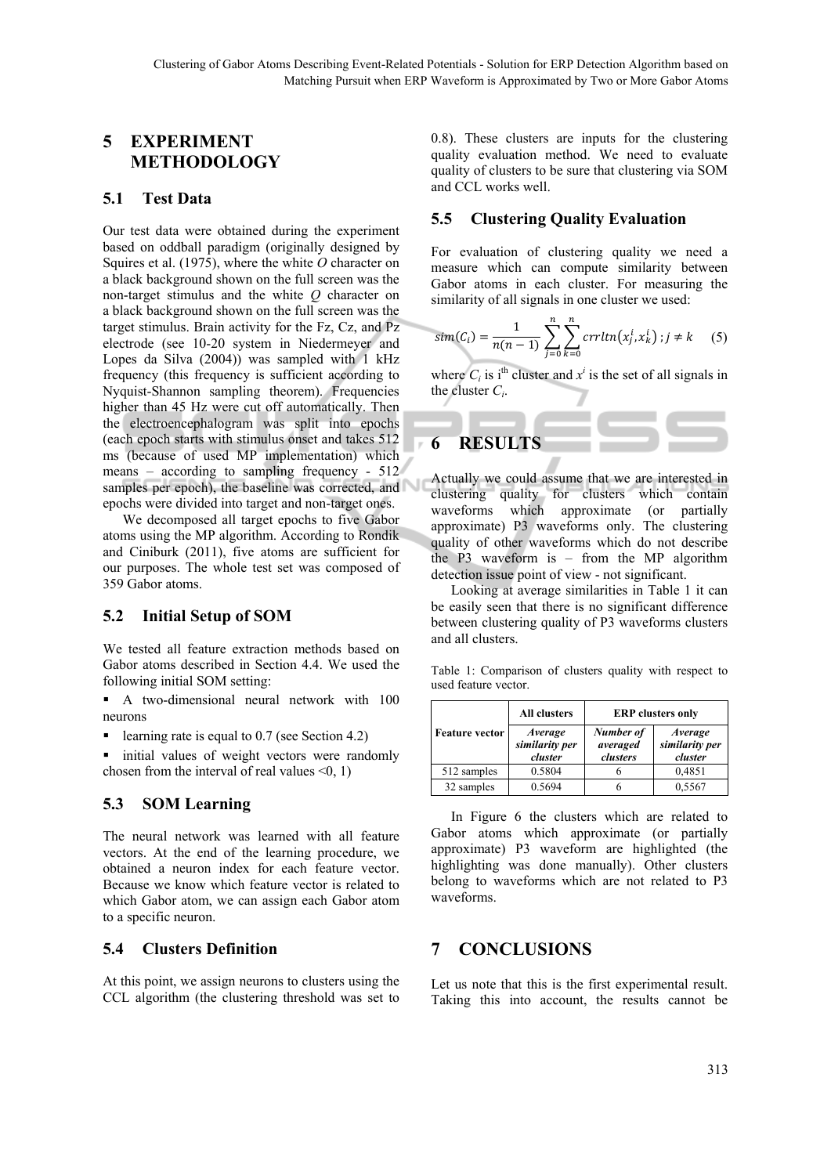## **5 EXPERIMENT METHODOLOGY**

#### **5.1 Test Data**

Our test data were obtained during the experiment based on oddball paradigm (originally designed by Squires et al. (1975), where the white *O* character on a black background shown on the full screen was the non-target stimulus and the white *Q* character on a black background shown on the full screen was the target stimulus. Brain activity for the Fz, Cz, and Pz electrode (see 10-20 system in Niedermeyer and Lopes da Silva (2004)) was sampled with 1 kHz frequency (this frequency is sufficient according to Nyquist-Shannon sampling theorem). Frequencies higher than 45 Hz were cut off automatically. Then the electroencephalogram was split into epochs (each epoch starts with stimulus onset and takes 512 ms (because of used MP implementation) which means – according to sampling frequency - 512 samples per epoch), the baseline was corrected, and epochs were divided into target and non-target ones.

We decomposed all target epochs to five Gabor atoms using the MP algorithm. According to Rondik and Ciniburk (2011), five atoms are sufficient for our purposes. The whole test set was composed of 359 Gabor atoms.

### **5.2 Initial Setup of SOM**

We tested all feature extraction methods based on Gabor atoms described in Section 4.4. We used the following initial SOM setting:

 A two-dimensional neural network with 100 neurons

learning rate is equal to  $0.7$  (see Section 4.2)

initial values of weight vectors were randomly chosen from the interval of real values  $\leq 0$ , 1)

## **5.3 SOM Learning**

The neural network was learned with all feature vectors. At the end of the learning procedure, we obtained a neuron index for each feature vector. Because we know which feature vector is related to which Gabor atom, we can assign each Gabor atom to a specific neuron.

#### **5.4 Clusters Definition**

At this point, we assign neurons to clusters using the CCL algorithm (the clustering threshold was set to

0.8). These clusters are inputs for the clustering quality evaluation method. We need to evaluate quality of clusters to be sure that clustering via SOM and CCL works well.

#### **5.5 Clustering Quality Evaluation**

For evaluation of clustering quality we need a measure which can compute similarity between Gabor atoms in each cluster. For measuring the similarity of all signals in one cluster we used:

$$
sim(C_i) = \frac{1}{n(n-1)} \sum_{j=0}^{n} \sum_{k=0}^{n} crr ltn(x_j^i, x_k^i); j \neq k \quad (5)
$$

where  $C_i$  is i<sup>th</sup> cluster and  $x^i$  is the set of all signals in the cluster *Ci*.



Actually we could assume that we are interested in clustering quality for clusters which contain waveforms which approximate (or partially approximate) P3 waveforms only. The clustering quality of other waveforms which do not describe the P3 waveform is – from the MP algorithm detection issue point of view - not significant.

Looking at average similarities in Table 1 it can be easily seen that there is no significant difference between clustering quality of P3 waveforms clusters and all clusters.

Table 1: Comparison of clusters quality with respect to used feature vector.

| <b>Feature vector</b> | All clusters                         | <b>ERP</b> clusters only          |                                             |
|-----------------------|--------------------------------------|-----------------------------------|---------------------------------------------|
|                       | Average<br>similarity per<br>cluster | Number of<br>averaged<br>clusters | <i>Average</i><br>similarity per<br>cluster |
| 512 samples           | 0.5804                               |                                   | 0,4851                                      |
| 32 samples            | 0.5694                               |                                   | 0,5567                                      |

In Figure 6 the clusters which are related to Gabor atoms which approximate (or partially approximate) P3 waveform are highlighted (the highlighting was done manually). Other clusters belong to waveforms which are not related to P3 waveforms.

## **7 CONCLUSIONS**

Let us note that this is the first experimental result. Taking this into account, the results cannot be